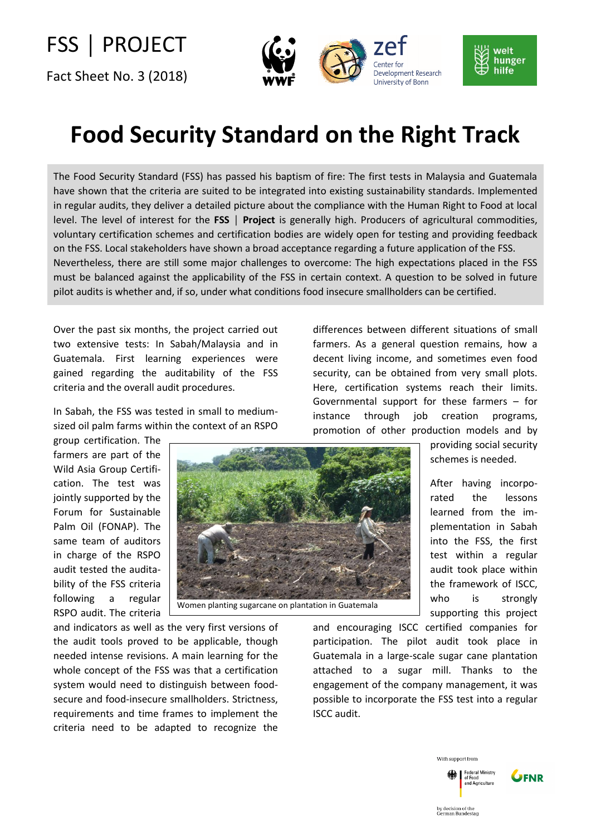## FSS │ PROJECT

Fact Sheet No. 3 (2018)





## **Food Security Standard on the Right Track**

The Food Security Standard (FSS) has passed his baptism of fire: The first tests in Malaysia and Guatemala have shown that the criteria are suited to be integrated into existing sustainability standards. Implemented in regular audits, they deliver a detailed picture about the compliance with the Human Right to Food at local level. The level of interest for the **FSS │ Project** is generally high. Producers of agricultural commodities, voluntary certification schemes and certification bodies are widely open for testing and providing feedback on the FSS. Local stakeholders have shown a broad acceptance regarding a future application of the FSS. Nevertheless, there are still some major challenges to overcome: The high expectations placed in the FSS must be balanced against the applicability of the FSS in certain context. A question to be solved in future pilot audits is whether and, if so, under what conditions food insecure smallholders can be certified.

Over the past six months, the project carried out two extensive tests: In Sabah/Malaysia and in Guatemala. First learning experiences were gained regarding the auditability of the FSS criteria and the overall audit procedures.

In Sabah, the FSS was tested in small to mediumsized oil palm farms within the context of an RSPO

group certification. The farmers are part of the Wild Asia Group Certification. The test was jointly supported by the Forum for Sustainable Palm Oil (FONAP). The same team of auditors in charge of the RSPO audit tested the auditability of the FSS criteria following a regular RSPO audit. The criteria



Women planting sugarcane on plantation in Guatemala

and indicators as well as the very first versions of the audit tools proved to be applicable, though needed intense revisions. A main learning for the whole concept of the FSS was that a certification system would need to distinguish between foodsecure and food-insecure smallholders. Strictness, requirements and time frames to implement the criteria need to be adapted to recognize the

differences between different situations of small farmers. As a general question remains, how a decent living income, and sometimes even food security, can be obtained from very small plots. Here, certification systems reach their limits. Governmental support for these farmers – for instance through job creation programs, promotion of other production models and by

> providing social security schemes is needed.

After having incorporated the lessons learned from the implementation in Sabah into the FSS, the first test within a regular audit took place within the framework of ISCC, who is strongly supporting this project

and encouraging ISCC certified companies for participation. The pilot audit took place in Guatemala in a large-scale sugar cane plantation attached to a sugar mill. Thanks to the engagement of the company management, it was possible to incorporate the FSS test into a regular ISCC audit.